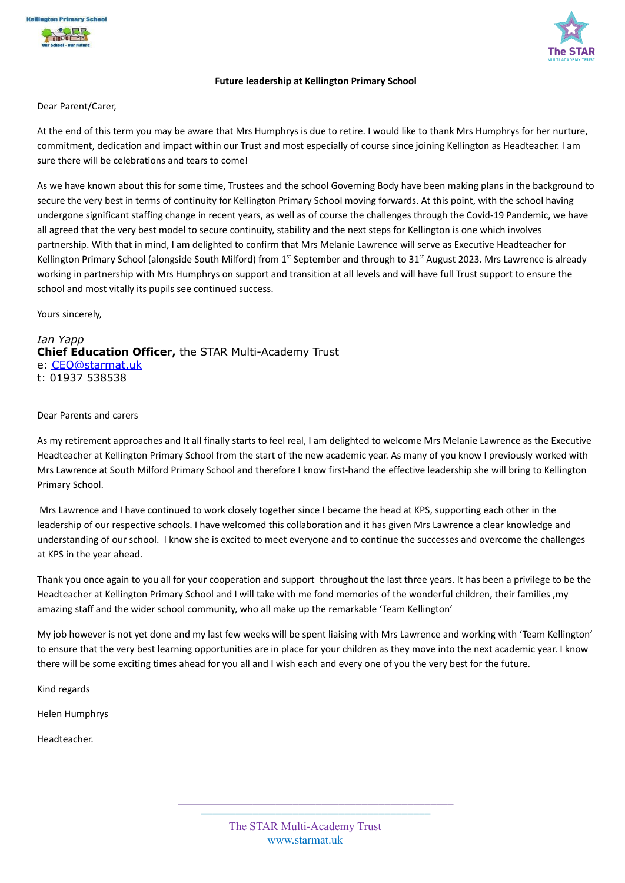



## **Future leadership at Kellington Primary School**

Dear Parent/Carer,

At the end of this term you may be aware that Mrs Humphrys is due to retire. I would like to thank Mrs Humphrys for her nurture, commitment, dedication and impact within our Trust and most especially of course since joining Kellington as Headteacher. I am sure there will be celebrations and tears to come!

As we have known about this for some time, Trustees and the school Governing Body have been making plans in the background to secure the very best in terms of continuity for Kellington Primary School moving forwards. At this point, with the school having undergone significant staffing change in recent years, as well as of course the challenges through the Covid-19 Pandemic, we have all agreed that the very best model to secure continuity, stability and the next steps for Kellington is one which involves partnership. With that in mind, I am delighted to confirm that Mrs Melanie Lawrence will serve as Executive Headteacher for Kellington Primary School (alongside South Milford) from 1<sup>st</sup> September and through to 31<sup>st</sup> August 2023. Mrs Lawrence is already working in partnership with Mrs Humphrys on support and transition at all levels and will have full Trust support to ensure the school and most vitally its pupils see continued success.

Yours sincerely,

*Ian Yapp* **Chief Education Officer,** the STAR Multi-Academy Trust e: [CEO@starmat.uk](mailto:CEO@starmat.uk) t: 01937 538538

## Dear Parents and carers

As my retirement approaches and It all finally starts to feel real, I am delighted to welcome Mrs Melanie Lawrence as the Executive Headteacher at Kellington Primary School from the start of the new academic year. As many of you know I previously worked with Mrs Lawrence at South Milford Primary School and therefore I know first-hand the effective leadership she will bring to Kellington Primary School.

Mrs Lawrence and I have continued to work closely together since I became the head at KPS, supporting each other in the leadership of our respective schools. I have welcomed this collaboration and it has given Mrs Lawrence a clear knowledge and understanding of our school. I know she is excited to meet everyone and to continue the successes and overcome the challenges at KPS in the year ahead.

Thank you once again to you all for your cooperation and support throughout the last three years. It has been a privilege to be the Headteacher at Kellington Primary School and I will take with me fond memories of the wonderful children, their families ,my amazing staff and the wider school community, who all make up the remarkable 'Team Kellington'

My job however is not yet done and my last few weeks will be spent liaising with Mrs Lawrence and working with 'Team Kellington' to ensure that the very best learning opportunities are in place for your children as they move into the next academic year. I know there will be some exciting times ahead for you all and I wish each and every one of you the very best for the future.

Kind regards

Helen Humphrys

Headteacher.

**\_\_\_\_\_\_\_\_\_\_\_\_\_\_\_\_\_\_\_\_\_\_\_\_\_\_\_\_\_\_\_\_\_\_\_\_\_\_\_\_\_\_\_\_\_\_\_\_ \_\_\_\_\_\_\_\_\_\_\_\_\_\_\_\_\_\_\_\_\_\_\_\_\_\_\_\_\_\_\_\_\_\_\_\_\_\_\_\_**